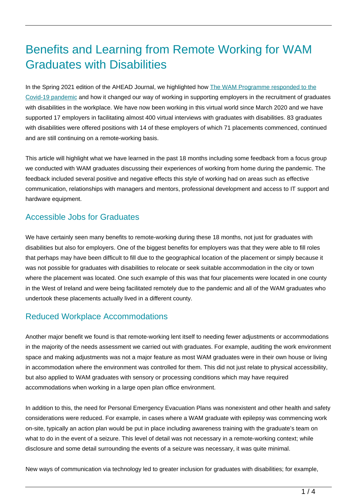# Benefits and Learning from Remote Working for WAM Graduates with Disabilities

In the Spring 2021 edition of the AHEAD Journal, we highlighted how [The WAM Programme responded to the](https://ahead.ie/journal/The-WAM-Programme-and-the-world-of-work-under-the-Covid-19-Pandemic) [Covid-19 pandemic](https://ahead.ie/journal/The-WAM-Programme-and-the-world-of-work-under-the-Covid-19-Pandemic) and how it changed our way of working in supporting employers in the recruitment of graduates with disabilities in the workplace. We have now been working in this virtual world since March 2020 and we have supported 17 employers in facilitating almost 400 virtual interviews with graduates with disabilities. 83 graduates with disabilities were offered positions with 14 of these employers of which 71 placements commenced, continued and are still continuing on a remote-working basis.

This article will highlight what we have learned in the past 18 months including some feedback from a focus group we conducted with WAM graduates discussing their experiences of working from home during the pandemic. The feedback included several positive and negative effects this style of working had on areas such as effective communication, relationships with managers and mentors, professional development and access to IT support and hardware equipment.

## Accessible Jobs for Graduates

We have certainly seen many benefits to remote-working during these 18 months, not just for graduates with disabilities but also for employers. One of the biggest benefits for employers was that they were able to fill roles that perhaps may have been difficult to fill due to the geographical location of the placement or simply because it was not possible for graduates with disabilities to relocate or seek suitable accommodation in the city or town where the placement was located. One such example of this was that four placements were located in one county in the West of Ireland and were being facilitated remotely due to the pandemic and all of the WAM graduates who undertook these placements actually lived in a different county.

### Reduced Workplace Accommodations

Another major benefit we found is that remote-working lent itself to needing fewer adjustments or accommodations in the majority of the needs assessment we carried out with graduates. For example, auditing the work environment space and making adjustments was not a major feature as most WAM graduates were in their own house or living in accommodation where the environment was controlled for them. This did not just relate to physical accessibility, but also applied to WAM graduates with sensory or processing conditions which may have required accommodations when working in a large open plan office environment.

In addition to this, the need for Personal Emergency Evacuation Plans was nonexistent and other health and safety considerations were reduced. For example, in cases where a WAM graduate with epilepsy was commencing work on-site, typically an action plan would be put in place including awareness training with the graduate's team on what to do in the event of a seizure. This level of detail was not necessary in a remote-working context; while disclosure and some detail surrounding the events of a seizure was necessary, it was quite minimal.

New ways of communication via technology led to greater inclusion for graduates with disabilities; for example,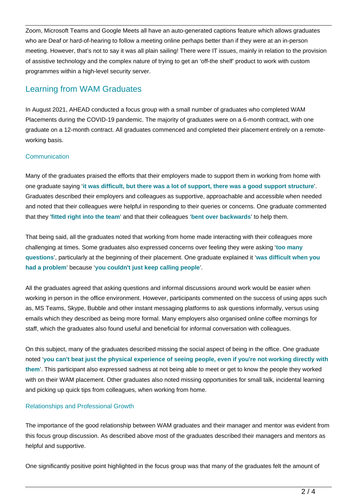Zoom, Microsoft Teams and Google Meets all have an auto-generated captions feature which allows graduates who are Deaf or hard-of-hearing to follow a meeting online perhaps better than if they were at an in-person meeting. However, that's not to say it was all plain sailing! There were IT issues, mainly in relation to the provision of assistive technology and the complex nature of trying to get an 'off-the shelf' product to work with custom programmes within a high-level security server.

## Learning from WAM Graduates

In August 2021, AHEAD conducted a focus group with a small number of graduates who completed WAM Placements during the COVID-19 pandemic. The majority of graduates were on a 6-month contract, with one graduate on a 12-month contract. All graduates commenced and completed their placement entirely on a remoteworking basis.

#### **Communication**

Many of the graduates praised the efforts that their employers made to support them in working from home with one graduate saying '**it was difficult, but there was a lot of support, there was a good support structure**'. Graduates described their employers and colleagues as supportive, approachable and accessible when needed and noted that their colleagues were helpful in responding to their queries or concerns. One graduate commented that they '**fitted right into the team**' and that their colleagues '**bent over backwards**' to help them.

That being said, all the graduates noted that working from home made interacting with their colleagues more challenging at times. Some graduates also expressed concerns over feeling they were asking '**too many questions**', particularly at the beginning of their placement. One graduate explained it '**was difficult when you had a problem**' because '**you couldn't just keep calling people**'.

All the graduates agreed that asking questions and informal discussions around work would be easier when working in person in the office environment. However, participants commented on the success of using apps such as, MS Teams, Skype, Bubble and other instant messaging platforms to ask questions informally, versus using emails which they described as being more formal. Many employers also organised online coffee mornings for staff, which the graduates also found useful and beneficial for informal conversation with colleagues.

On this subject, many of the graduates described missing the social aspect of being in the office. One graduate noted '**you can't beat just the physical experience of seeing people, even if you're not working directly with them**'. This participant also expressed sadness at not being able to meet or get to know the people they worked with on their WAM placement. Other graduates also noted missing opportunities for small talk, incidental learning and picking up quick tips from colleagues, when working from home.

#### Relationships and Professional Growth

The importance of the good relationship between WAM graduates and their manager and mentor was evident from this focus group discussion. As described above most of the graduates described their managers and mentors as helpful and supportive.

One significantly positive point highlighted in the focus group was that many of the graduates felt the amount of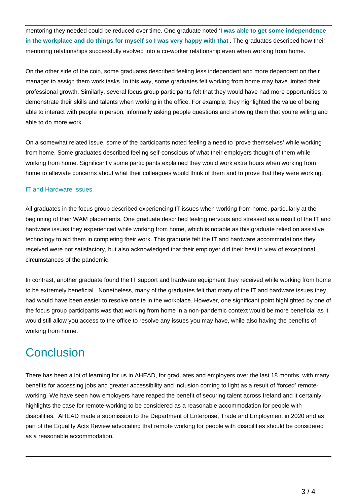mentoring they needed could be reduced over time. One graduate noted '**I was able to get some independence in the workplace and do things for myself so I was very happy with that**'. The graduates described how their mentoring relationships successfully evolved into a co-worker relationship even when working from home.

On the other side of the coin, some graduates described feeling less independent and more dependent on their manager to assign them work tasks. In this way, some graduates felt working from home may have limited their professional growth. Similarly, several focus group participants felt that they would have had more opportunities to demonstrate their skills and talents when working in the office. For example, they highlighted the value of being able to interact with people in person, informally asking people questions and showing them that you're willing and able to do more work.

On a somewhat related issue, some of the participants noted feeling a need to 'prove themselves' while working from home. Some graduates described feeling self-conscious of what their employers thought of them while working from home. Significantly some participants explained they would work extra hours when working from home to alleviate concerns about what their colleagues would think of them and to prove that they were working.

#### IT and Hardware Issues

All graduates in the focus group described experiencing IT issues when working from home, particularly at the beginning of their WAM placements. One graduate described feeling nervous and stressed as a result of the IT and hardware issues they experienced while working from home, which is notable as this graduate relied on assistive technology to aid them in completing their work. This graduate felt the IT and hardware accommodations they received were not satisfactory, but also acknowledged that their employer did their best in view of exceptional circumstances of the pandemic.

In contrast, another graduate found the IT support and hardware equipment they received while working from home to be extremely beneficial. Nonetheless, many of the graduates felt that many of the IT and hardware issues they had would have been easier to resolve onsite in the workplace. However, one significant point highlighted by one of the focus group participants was that working from home in a non-pandemic context would be more beneficial as it would still allow you access to the office to resolve any issues you may have, while also having the benefits of working from home.

## **Conclusion**

There has been a lot of learning for us in AHEAD, for graduates and employers over the last 18 months, with many benefits for accessing jobs and greater accessibility and inclusion coming to light as a result of 'forced' remoteworking. We have seen how employers have reaped the benefit of securing talent across Ireland and it certainly highlights the case for remote-working to be considered as a reasonable accommodation for people with disabilities. AHEAD made a submission to the Department of Enterprise, Trade and Employment in 2020 and as part of the Equality Acts Review advocating that remote working for people with disabilities should be considered as a reasonable accommodation.